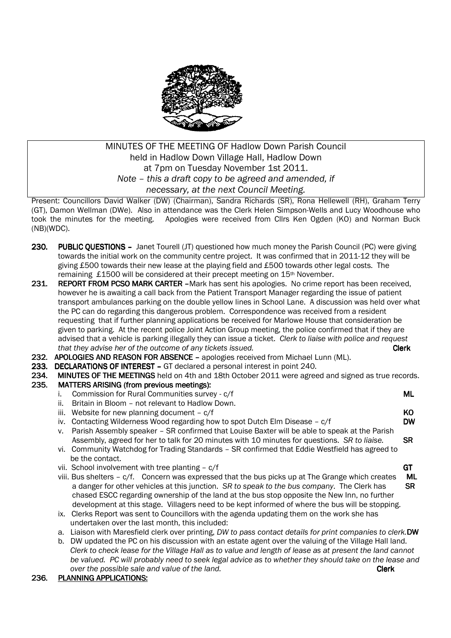

# MINUTES OF THE MEETING OF Hadlow Down Parish Council held in Hadlow Down Village Hall, Hadlow Down at 7pm on Tuesday November 1st 2011. *Note – this a draft copy to be agreed and amended, if necessary, at the next Council Meeting.*

Present: Councillors David Walker (DW) (Chairman), Sandra Richards (SR), Rona Hellewell (RH), Graham Terry (GT), Damon Wellman (DWe). Also in attendance was the Clerk Helen Simpson-Wells and Lucy Woodhouse who took the minutes for the meeting. Apologies were received from Cllrs Ken Ogden (KO) and Norman Buck (NB)(WDC).

- 230. PUBLIC OUESTIONS Janet Tourell (JT) questioned how much money the Parish Council (PC) were giving towards the initial work on the community centre project. It was confirmed that in 2011-12 they will be giving £500 towards their new lease at the playing field and £500 towards other legal costs. The remaining £1500 will be considered at their precept meeting on 15th November.
- 231. REPORT FROM PCSO MARK CARTER -Mark has sent his apologies. No crime report has been received, however he is awaiting a call back from the Patient Transport Manager regarding the issue of patient transport ambulances parking on the double yellow lines in School Lane. A discussion was held over what the PC can do regarding this dangerous problem. Correspondence was received from a resident requesting that if further planning applications be received for Marlowe House that consideration be given to parking. At the recent police Joint Action Group meeting, the police confirmed that if they are advised that a vehicle is parking illegally they can issue a ticket. *Clerk to liaise with police and request that they advise her of the outcome of any tickets issued.* The same of any tickets is a set of the outcome of any tickets issued.
- 232. APOLOGIES AND REASON FOR ABSENCE apologies received from Michael Lunn (ML).
- 233. DECLARATIONS OF INTEREST GT declared a personal interest in point 240.
- 234. MINUTES OF THE MEETINGS held on 4th and 18th October 2011 were agreed and signed as true records.<br>235. MATTERS ARISING (from previous meetings):
- MATTERS ARISING (from previous meetings):
	- i. Commission for Rural Communities survey c/f Communities of Communities of Communities of Communities of Co
	- ii. Britain in Bloom not relevant to Hadlow Down.
	- iii. Website for new planning document  $c/f$  KO

iv. Contacting Wilderness Wood regarding how to spot Dutch Elm Disease  $- c/f$  DW

- v. Parish Assembly speaker SR confirmed that Louise Baxter will be able to speak at the Parish Assembly, agreed for her to talk for 20 minutes with 10 minutes for questions. *SR to liaise.* SR
- vi. Community Watchdog for Trading Standards SR confirmed that Eddie Westfield has agreed to be the contact.
- vii. School involvement with tree planting  $c/f$  GT
- viii. Bus shelters c/f. Concern was expressed that the bus picks up at The Grange which creates ML a danger for other vehicles at this junction. *SR to speak to the bus company*. The Clerk has SR chased ESCC regarding ownership of the land at the bus stop opposite the New Inn, no further development at this stage. Villagers need to be kept informed of where the bus will be stopping.
- ix. Clerks Report was sent to Councillors with the agenda updating them on the work she has undertaken over the last month, this included:
- a. Liaison with Maresfield clerk over printing, *DW to pass contact details for print companies to clerk.*DW
- b. DW updated the PC on his discussion with an estate agent over the valuing of the Village Hall land. *Clerk to check lease for the Village Hall as to value and length of lease as at present the land cannot be valued. PC will probably need to seek legal advice as to whether they should take on the lease and Dia also be observed and value of the land.* **The** *land* **by** *clerk* **<b>Clerk**

### 236. PLANNING APPLICATIONS:

- 
-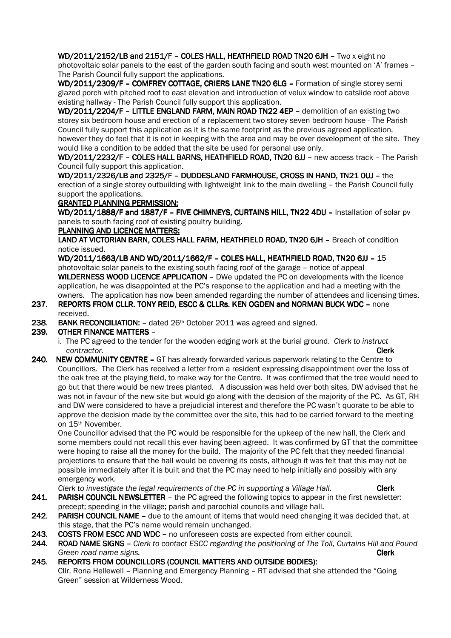WD/2011/2152/LB and 2151/F - COLES HALL, HEATHFIELD ROAD TN20 6JH - Two x eight no photovoltaic solar panels to the east of the garden south facing and south west mounted on 'A' frames – The Parish Council fully support the applications.

WD/2011/2309/F - COMFREY COTTAGE, CRIERS LANE TN20 6LG - Formation of single storey semi glazed porch with pitched roof to east elevation and introduction of velux window to catslide roof above existing hallway - The Parish Council fully support this application.

WD/2011/2204/F – LITTLE ENGLAND FARM, MAIN ROAD TN22 4EP – demolition of an existing two storey six bedroom house and erection of a replacement two storey seven bedroom house - The Parish Council fully support this application as it is the same footprint as the previous agreed application, however they do feel that it is not in keeping with the area and may be over development of the site. They would like a condition to be added that the site be used for personal use only.

WD/2011/2232/F – COLES HALL BARNS, HEATHFIELD ROAD, TN20 6JJ – new access track – The Parish Council fully support this application.

WD/2011/2326/LB and 2325/F - DUDDESLAND FARMHOUSE, CROSS IN HAND, TN21 0UJ - the erection of a single storey outbuilding with lightweight link to the main dweliing – the Parish Council fully support the applications.

### **GRANTED PLANNING PERMISSION:**

WD/2011/1888/F and 1887/F - FIVE CHIMNEYS, CURTAINS HILL, TN22 4DU - Installation of solar pv panels to south facing roof of existing poultry building.

#### PLANNING AND LICENCE MATTERS:

LAND AT VICTORIAN BARN, COLES HALL FARM, HEATHFIELD ROAD, TN20 6JH - Breach of condition notice issued.

WD/2011/1663/LB AND WD/2011/1662/F - COLES HALL, HEATHFIELD ROAD, TN20 6JJ - 15 photovoltaic solar panels to the existing south facing roof of the garage – notice of appeal WILDERNESS WOOD LICENCE APPLICATION - DWe updated the PC on developments with the licence application, he was disappointed at the PC's response to the application and had a meeting with the owners. The application has now been amended regarding the number of attendees and licensing times.

- 237. REPORTS FROM CLLR. TONY REID, ESCC & CLLRS. KEN OGDEN and NORMAN BUCK WDC none received.
- 238. BANK RECONCILIATION:  $-$  dated 26<sup>th</sup> October 2011 was agreed and signed.

### 239. OTHER FINANCE MATTERS –

- i. The PC agreed to the tender for the wooden edging work at the burial ground. *Clerk to instruct contractor.* **Clerk**
- 240. NEW COMMUNITY CENTRE GT has already forwarded various paperwork relating to the Centre to Councillors. The Clerk has received a letter from a resident expressing disappointment over the loss of the oak tree at the playing field, to make way for the Centre. It was confirmed that the tree would need to go but that there would be new trees planted. A discussion was held over both sites, DW advised that he was not in favour of the new site but would go along with the decision of the majority of the PC. As GT, RH and DW were considered to have a prejudicial interest and therefore the PC wasn't quorate to be able to approve the decision made by the committee over the site, this had to be carried forward to the meeting on 15th November.

One Councillor advised that the PC would be responsible for the upkeep of the new hall, the Clerk and some members could not recall this ever having been agreed. It was confirmed by GT that the committee were hoping to raise all the money for the build. The majority of the PC felt that they needed financial projections to ensure that the hall would be covering its costs, although it was felt that this may not be possible immediately after it is built and that the PC may need to help initially and possibly with any emergency work.

*Clerk to investigate the legal requirements of the PC in supporting a Village Hall.* **Clerk** 

- 241. PARISH COUNCIL NEWSLETTER the PC agreed the following topics to appear in the first newsletter: precept; speeding in the village; parish and parochial councils and village hall.
- 242. PARISH COUNCIL NAME due to the amount of items that would need changing it was decided that, at this stage, that the PC's name would remain unchanged.
- 243. COSTS FROM ESCC AND WDC no unforeseen costs are expected from either council.
- 244. ROAD NAME SIGNS *Clerk to contact ESCC regarding the positioning of The Toll, Curtains Hill and Pound Green road name signs.* Clerk
- 245. REPORTS FROM COUNCILLORS (COUNCIL MATTERS AND OUTSIDE BODIES): Cllr. Rona Hellewell – Planning and Emergency Planning – RT advised that she attended the "Going Green" session at Wilderness Wood.